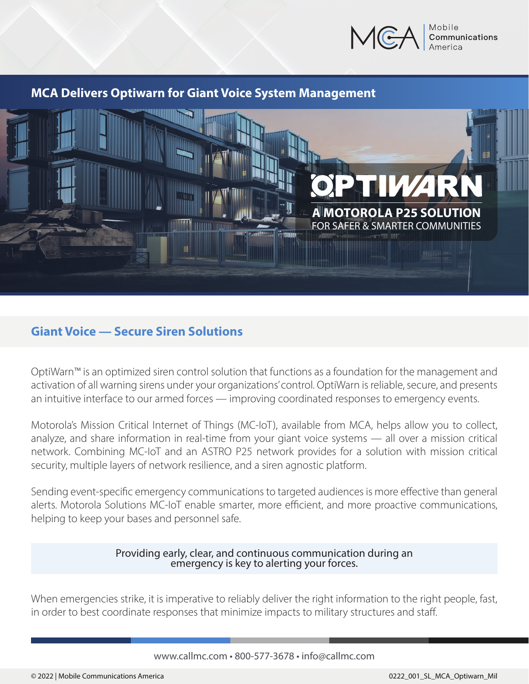

### **MCA Delivers Optiwarn for Giant Voice System Management**



## **Giant Voice — Secure Siren Solutions**

OptiWarn™ is an optimized siren control solution that functions as a foundation for the management and activation of all warning sirens under your organizations' control. OptiWarn is reliable, secure, and presents an intuitive interface to our armed forces — improving coordinated responses to emergency events.

Motorola's Mission Critical Internet of Things (MC-IoT), available from MCA, helps allow you to collect, analyze, and share information in real-time from your giant voice systems — all over a mission critical network. Combining MC-IoT and an ASTRO P25 network provides for a solution with mission critical security, multiple layers of network resilience, and a siren agnostic platform.

Sending event-specific emergency communications to targeted audiences is more effective than general alerts. Motorola Solutions MC-IoT enable smarter, more efficient, and more proactive communications, helping to keep your bases and personnel safe.

## Providing early, clear, and continuous communication during an emergency is key to alerting your forces.

When emergencies strike, it is imperative to reliably deliver the right information to the right people, fast, in order to best coordinate responses that minimize impacts to military structures and staff.

#### www.callmc.com • 800-577-3678 • info@callmc.com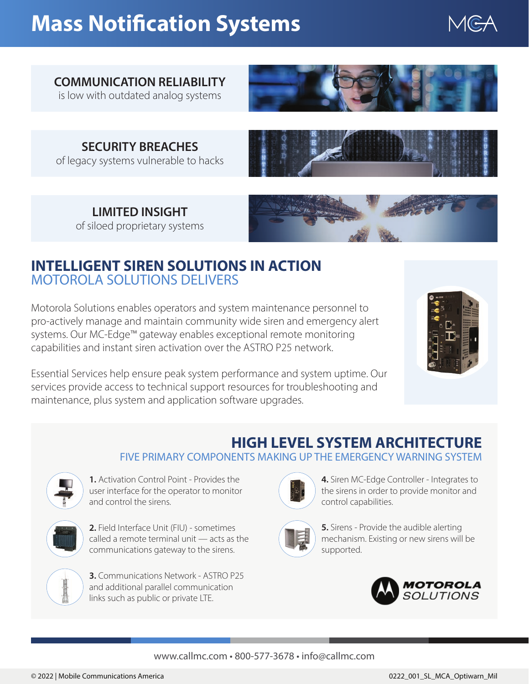# **Mass Notification Systems**



## **COMMUNICATION RELIABILITY**

is low with outdated analog systems



**SECURITY BREACHES** of legacy systems vulnerable to hacks



**LIMITED INSIGHT** of siloed proprietary systems



## **INTELLIGENT SIREN SOLUTIONS IN ACTION** MOTOROLA SOLUTIONS DELIVERS

Motorola Solutions enables operators and system maintenance personnel to pro-actively manage and maintain community wide siren and emergency alert systems. Our MC-Edge™ gateway enables exceptional remote monitoring capabilities and instant siren activation over the ASTRO P25 network.



Essential Services help ensure peak system performance and system uptime. Our services provide access to technical support resources for troubleshooting and maintenance, plus system and application software upgrades.

## **HIGH LEVEL SYSTEM ARCHITECTURE**

FIVE PRIMARY COMPONENTS MAKING UP THE EMERGENCY WARNING SYSTEM



**1.** Activation Control Point - Provides the user interface for the operator to monitor and control the sirens.



**2.** Field Interface Unit (FIU) - sometimes called a remote terminal unit — acts as the communications gateway to the sirens.



**3.** Communications Network - ASTRO P25 and additional parallel communication links such as public or private LTE.



**4.** Siren MC-Edge Controller - Integrates to the sirens in order to provide monitor and control capabilities.



**5.** Sirens - Provide the audible alerting mechanism. Existing or new sirens will be supported.



#### www.callmc.com • 800-577-3678 • info@callmc.com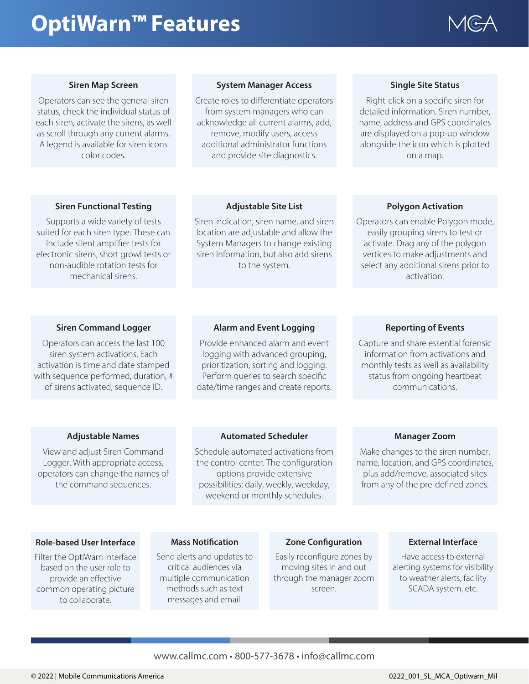# **OptiWarn™ Features**



#### **Siren Map Screen .**

Operators can see the general siren status, check the individual status of each siren, activate the sirens, as well as scroll through any current alarms. A legend is available for siren icons color codes.

#### **System Manager Access .**

Create roles to differentiate operators from system managers who can acknowledge all current alarms, add, remove, modify users, access additional administrator functions and provide site diagnostics.

#### **Single Site Status**

Right-click on a specific siren for detailed information. Siren number, name, address and GPS coordinates are displayed on a pop-up window alongside the icon which is plotted on a map.

#### **Siren Functional Testing**

Supports a wide variety of tests suited for each siren type. These can include silent amplifier tests for electronic sirens, short growl tests or non-audible rotation tests for mechanical sirens.

#### **Adjustable Site List**

Siren indication, siren name, and siren location are adjustable and allow the System Managers to change existing siren information, but also add sirens to the system.

#### **Polygon Activation**

Operators can enable Polygon mode, easily grouping sirens to test or activate. Drag any of the polygon vertices to make adjustments and select any additional sirens prior to activation.

#### **Siren Command Logger**

Operators can access the last 100 siren system activations. Each activation is time and date stamped with sequence performed, duration, # of sirens activated, sequence ID.

#### **Alarm and Event Logging**

Provide enhanced alarm and event logging with advanced grouping, prioritization, sorting and logging. Perform queries to search specific date/time ranges and create reports.

#### **Reporting of Events**

Capture and share essential forensic information from activations and monthly tests as well as availability status from ongoing heartbeat communications.

#### **Adjustable Names**

View and adjust Siren Command Logger. With appropriate access, operators can change the names of the command sequences.

#### **Automated Scheduler**

Schedule automated activations from the control center. The configuration options provide extensive possibilities: daily, weekly, weekday, weekend or monthly schedules.

#### **Manager Zoom**

Make changes to the siren number, name, location, and GPS coordinates, plus add/remove, associated sites from any of the pre-defined zones.

#### **Role-based User Interface**

Filter the OptiWarn interface based on the user role to provide an effective common operating picture to collaborate.

#### **Mass Notification**

Send alerts and updates to critical audiences via multiple communication methods such as text messages and email.

#### **Zone Configuration**

Easily reconfigure zones by moving sites in and out through the manager zoom screen.

#### **External Interface**

Have access to external alerting systems for visibility to weather alerts, facility SCADA system, etc.

#### www.callmc.com • 800-577-3678 • info@callmc.com